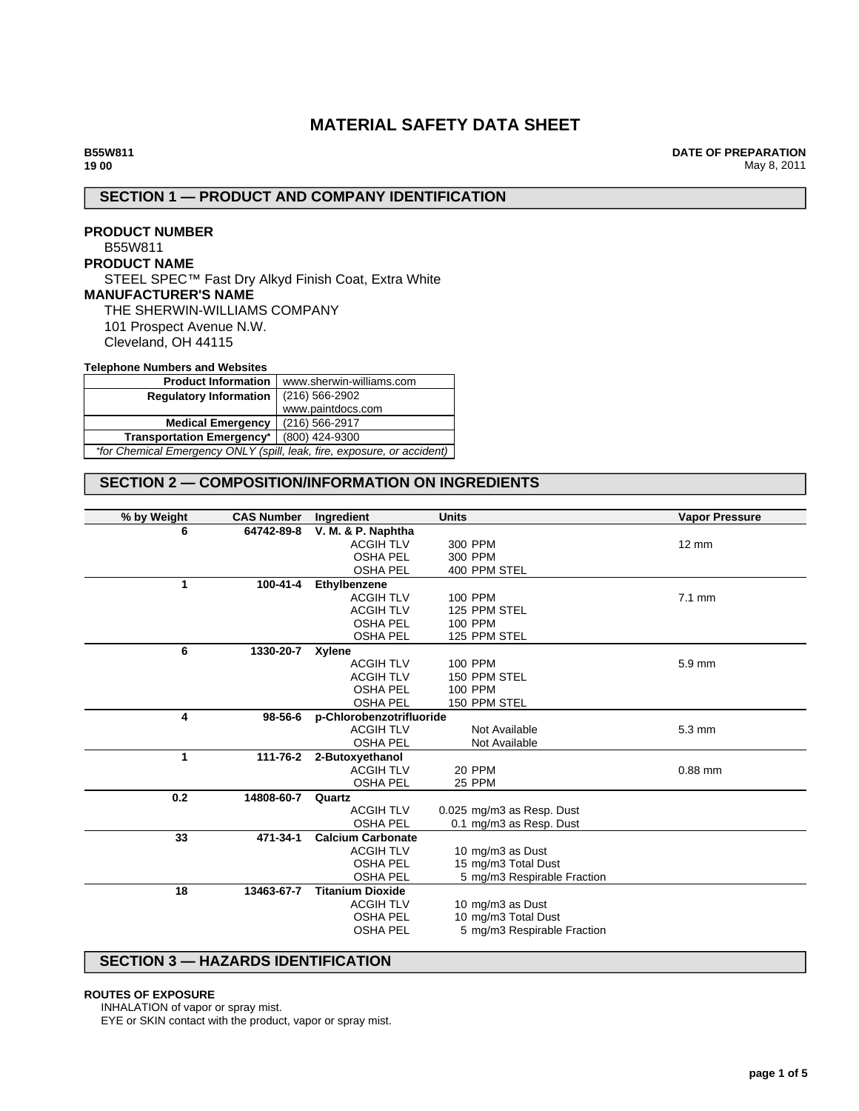# **MATERIAL SAFETY DATA SHEET**

**DATE OF PREPARATION** May 8, 2011

## **SECTION 1 — PRODUCT AND COMPANY IDENTIFICATION**

## **PRODUCT NUMBER**

# B55W811

**PRODUCT NAME**

STEEL SPEC™ Fast Dry Alkyd Finish Coat, Extra White **MANUFACTURER'S NAME**

THE SHERWIN-WILLIAMS COMPANY

101 Prospect Avenue N.W. Cleveland, OH 44115

#### **Telephone Numbers and Websites**

| <b>Product Information</b><br>www.sherwin-williams.com                  |                   |  |
|-------------------------------------------------------------------------|-------------------|--|
| <b>Regulatory Information</b>                                           | $(216)$ 566-2902  |  |
|                                                                         | www.paintdocs.com |  |
| <b>Medical Emergency</b>                                                | (216) 566-2917    |  |
| <b>Transportation Emergency*</b>                                        | (800) 424-9300    |  |
| *for Chemical Emergency ONLY (spill, leak, fire, exposure, or accident) |                   |  |

# **SECTION 2 — COMPOSITION/INFORMATION ON INGREDIENTS**

| % by Weight | <b>CAS Number</b> | Ingredient               | <b>Units</b>                | <b>Vapor Pressure</b> |
|-------------|-------------------|--------------------------|-----------------------------|-----------------------|
| 6           | 64742-89-8        | V. M. & P. Naphtha       |                             |                       |
|             |                   | <b>ACGIH TLV</b>         | 300 PPM                     | $12 \text{ mm}$       |
|             |                   | <b>OSHA PEL</b>          | 300 PPM                     |                       |
|             |                   | <b>OSHA PEL</b>          | 400 PPM STEL                |                       |
| 1           | 100-41-4          | Ethylbenzene             |                             |                       |
|             |                   | <b>ACGIH TLV</b>         | 100 PPM                     | $7.1 \text{ mm}$      |
|             |                   | <b>ACGIH TLV</b>         | 125 PPM STEL                |                       |
|             |                   | <b>OSHA PEL</b>          | 100 PPM                     |                       |
|             |                   | <b>OSHA PEL</b>          | 125 PPM STEL                |                       |
| 6           | 1330-20-7         | Xylene                   |                             |                       |
|             |                   | <b>ACGIH TLV</b>         | 100 PPM                     | 5.9 mm                |
|             |                   | <b>ACGIH TLV</b>         | 150 PPM STEL                |                       |
|             |                   | <b>OSHA PEL</b>          | 100 PPM                     |                       |
|             |                   | <b>OSHA PEL</b>          | 150 PPM STEL                |                       |
| 4           | 98-56-6           | p-Chlorobenzotrifluoride |                             |                       |
|             |                   | <b>ACGIH TLV</b>         | Not Available               | $5.3 \text{ mm}$      |
|             |                   | <b>OSHA PEL</b>          | Not Available               |                       |
| 1           | 111-76-2          | 2-Butoxyethanol          |                             |                       |
|             |                   | <b>ACGIH TLV</b>         | 20 PPM                      | $0.88$ mm             |
|             |                   | <b>OSHA PEL</b>          | 25 PPM                      |                       |
| 0.2         | 14808-60-7        | Quartz                   |                             |                       |
|             |                   | <b>ACGIH TLV</b>         | 0.025 mg/m3 as Resp. Dust   |                       |
|             |                   | <b>OSHA PEL</b>          | 0.1 mg/m3 as Resp. Dust     |                       |
| 33          | 471-34-1          | <b>Calcium Carbonate</b> |                             |                       |
|             |                   | <b>ACGIH TLV</b>         | 10 mg/m3 as Dust            |                       |
|             |                   | <b>OSHA PEL</b>          | 15 mg/m3 Total Dust         |                       |
|             |                   | <b>OSHA PEL</b>          | 5 mg/m3 Respirable Fraction |                       |
| 18          | 13463-67-7        | <b>Titanium Dioxide</b>  |                             |                       |
|             |                   | <b>ACGIH TLV</b>         | 10 mg/m3 as Dust            |                       |
|             |                   | <b>OSHA PEL</b>          | 10 mg/m3 Total Dust         |                       |
|             |                   | <b>OSHA PEL</b>          | 5 mg/m3 Respirable Fraction |                       |
|             |                   |                          |                             |                       |

## **SECTION 3 — HAZARDS IDENTIFICATION**

### **ROUTES OF EXPOSURE**

INHALATION of vapor or spray mist.

EYE or SKIN contact with the product, vapor or spray mist.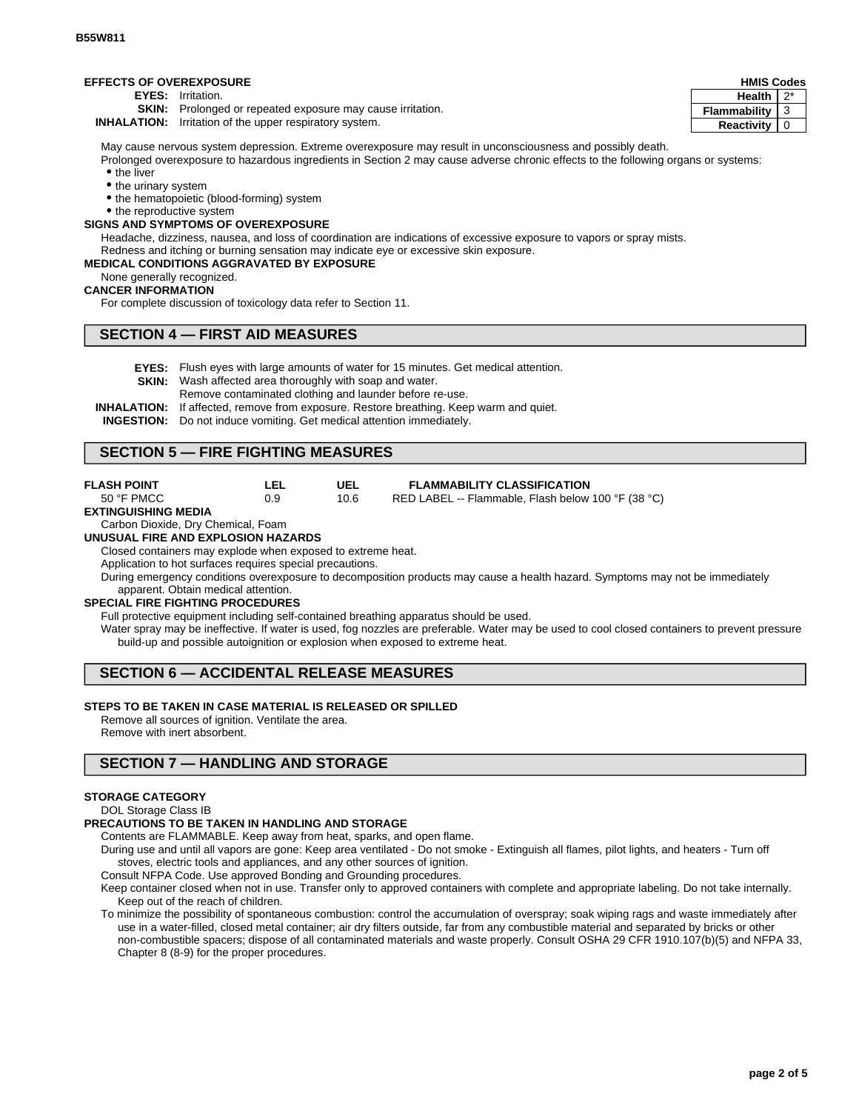### **EFFECTS OF OVEREXPOSURE**

**EYES:** Irritation.

**SKIN:** Prolonged or repeated exposure may cause irritation.

**INHALATION:** Irritation of the upper respiratory system.

May cause nervous system depression. Extreme overexposure may result in unconsciousness and possibly death.

Prolonged overexposure to hazardous ingredients in Section 2 may cause adverse chronic effects to the following organs or systems: • the liver

- the urinary system
- the hematopoietic (blood-forming) system

• the reproductive system

## **SIGNS AND SYMPTOMS OF OVEREXPOSURE**

Headache, dizziness, nausea, and loss of coordination are indications of excessive exposure to vapors or spray mists. Redness and itching or burning sensation may indicate eye or excessive skin exposure.

## **MEDICAL CONDITIONS AGGRAVATED BY EXPOSURE**

None generally recognized.

#### **CANCER INFORMATION**

For complete discussion of toxicology data refer to Section 11.

### **SECTION 4 — FIRST AID MEASURES**

- **EYES:** Flush eyes with large amounts of water for 15 minutes. Get medical attention.
- **SKIN:** Wash affected area thoroughly with soap and water.
	- Remove contaminated clothing and launder before re-use.
- **INHALATION:** If affected, remove from exposure. Restore breathing. Keep warm and quiet.

**INGESTION:** Do not induce vomiting. Get medical attention immediately.

### **SECTION 5 — FIRE FIGHTING MEASURES**

| <b>FLASH POINT</b> | LEL | UEL  | <b>FLAMMABILITY CLASSIFICATION</b>                 |
|--------------------|-----|------|----------------------------------------------------|
| 50 °F PMCC         | 0.9 | 10.6 | RED LABEL -- Flammable, Flash below 100 °F (38 °C) |

#### **EXTINGUISHING MEDIA**

## Carbon Dioxide, Dry Chemical, Foam

**UNUSUAL FIRE AND EXPLOSION HAZARDS**

Closed containers may explode when exposed to extreme heat.

Application to hot surfaces requires special precautions.

During emergency conditions overexposure to decomposition products may cause a health hazard. Symptoms may not be immediately apparent. Obtain medical attention.

#### **SPECIAL FIRE FIGHTING PROCEDURES**

Full protective equipment including self-contained breathing apparatus should be used.

Water spray may be ineffective. If water is used, fog nozzles are preferable. Water may be used to cool closed containers to prevent pressure build-up and possible autoignition or explosion when exposed to extreme heat.

## **SECTION 6 — ACCIDENTAL RELEASE MEASURES**

### **STEPS TO BE TAKEN IN CASE MATERIAL IS RELEASED OR SPILLED**

Remove all sources of ignition. Ventilate the area. Remove with inert absorbent.

## **SECTION 7 — HANDLING AND STORAGE**

#### **STORAGE CATEGORY**

### DOL Storage Class IB

#### **PRECAUTIONS TO BE TAKEN IN HANDLING AND STORAGE**

Contents are FLAMMABLE. Keep away from heat, sparks, and open flame.

- During use and until all vapors are gone: Keep area ventilated Do not smoke Extinguish all flames, pilot lights, and heaters Turn off stoves, electric tools and appliances, and any other sources of ignition.
- Consult NFPA Code. Use approved Bonding and Grounding procedures.

Keep container closed when not in use. Transfer only to approved containers with complete and appropriate labeling. Do not take internally. Keep out of the reach of children.

To minimize the possibility of spontaneous combustion: control the accumulation of overspray; soak wiping rags and waste immediately after use in a water-filled, closed metal container; air dry filters outside, far from any combustible material and separated by bricks or other non-combustible spacers; dispose of all contaminated materials and waste properly. Consult OSHA 29 CFR 1910.107(b)(5) and NFPA 33, Chapter 8 (8-9) for the proper procedures.

#### **HMIS Codes Health** 2\* **Flammability** 3 **Reactivity** 0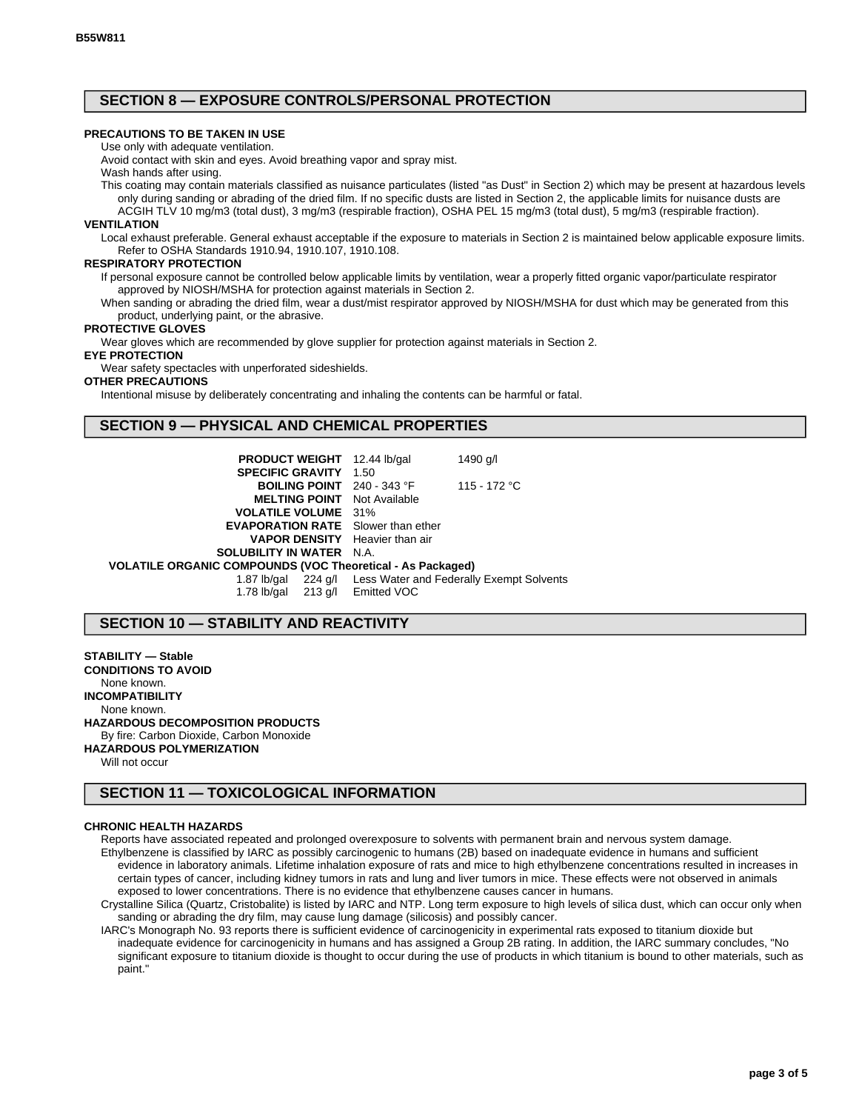## **SECTION 8 — EXPOSURE CONTROLS/PERSONAL PROTECTION**

## **PRECAUTIONS TO BE TAKEN IN USE**

Use only with adequate ventilation.

Avoid contact with skin and eyes. Avoid breathing vapor and spray mist. Wash hands after using.

This coating may contain materials classified as nuisance particulates (listed "as Dust" in Section 2) which may be present at hazardous levels only during sanding or abrading of the dried film. If no specific dusts are listed in Section 2, the applicable limits for nuisance dusts are

ACGIH TLV 10 mg/m3 (total dust), 3 mg/m3 (respirable fraction), OSHA PEL 15 mg/m3 (total dust), 5 mg/m3 (respirable fraction).

#### **VENTILATION**

Local exhaust preferable. General exhaust acceptable if the exposure to materials in Section 2 is maintained below applicable exposure limits. Refer to OSHA Standards 1910.94, 1910.107, 1910.108.

### **RESPIRATORY PROTECTION**

If personal exposure cannot be controlled below applicable limits by ventilation, wear a properly fitted organic vapor/particulate respirator approved by NIOSH/MSHA for protection against materials in Section 2.

When sanding or abrading the dried film, wear a dust/mist respirator approved by NIOSH/MSHA for dust which may be generated from this product, underlying paint, or the abrasive.

## **PROTECTIVE GLOVES**

Wear gloves which are recommended by glove supplier for protection against materials in Section 2.

**EYE PROTECTION**

Wear safety spectacles with unperforated sideshields.

#### **OTHER PRECAUTIONS**

Intentional misuse by deliberately concentrating and inhaling the contents can be harmful or fatal.

## **SECTION 9 — PHYSICAL AND CHEMICAL PROPERTIES**

| <b>PRODUCT WEIGHT</b> 12.44 lb/gal                         | 1490 g/l                                                     |
|------------------------------------------------------------|--------------------------------------------------------------|
| <b>SPECIFIC GRAVITY 1.50</b>                               |                                                              |
| <b>BOILING POINT</b> $240 - 343$ °F                        | 115 - 172 °C                                                 |
| <b>MELTING POINT</b> Not Available                         |                                                              |
| <b>VOLATILE VOLUME</b> 31%                                 |                                                              |
| <b>EVAPORATION RATE</b> Slower than ether                  |                                                              |
| <b>VAPOR DENSITY</b> Heavier than air                      |                                                              |
| <b>SOLUBILITY IN WATER N.A.</b>                            |                                                              |
| VOLATILE ORGANIC COMPOUNDS (VOC Theoretical - As Packaged) |                                                              |
|                                                            | 1.87 lb/gal 224 g/l Less Water and Federally Exempt Solvents |
| 1.78 lb/gal 213 g/l Emitted VOC                            |                                                              |

## **SECTION 10 — STABILITY AND REACTIVITY**

**STABILITY — Stable CONDITIONS TO AVOID** None known. **INCOMPATIBILITY** None known. **HAZARDOUS DECOMPOSITION PRODUCTS** By fire: Carbon Dioxide, Carbon Monoxide **HAZARDOUS POLYMERIZATION**

Will not occur

# **SECTION 11 — TOXICOLOGICAL INFORMATION**

#### **CHRONIC HEALTH HAZARDS**

Reports have associated repeated and prolonged overexposure to solvents with permanent brain and nervous system damage. Ethylbenzene is classified by IARC as possibly carcinogenic to humans (2B) based on inadequate evidence in humans and sufficient evidence in laboratory animals. Lifetime inhalation exposure of rats and mice to high ethylbenzene concentrations resulted in increases in certain types of cancer, including kidney tumors in rats and lung and liver tumors in mice. These effects were not observed in animals exposed to lower concentrations. There is no evidence that ethylbenzene causes cancer in humans.

Crystalline Silica (Quartz, Cristobalite) is listed by IARC and NTP. Long term exposure to high levels of silica dust, which can occur only when sanding or abrading the dry film, may cause lung damage (silicosis) and possibly cancer.

IARC's Monograph No. 93 reports there is sufficient evidence of carcinogenicity in experimental rats exposed to titanium dioxide but inadequate evidence for carcinogenicity in humans and has assigned a Group 2B rating. In addition, the IARC summary concludes, "No significant exposure to titanium dioxide is thought to occur during the use of products in which titanium is bound to other materials, such as paint."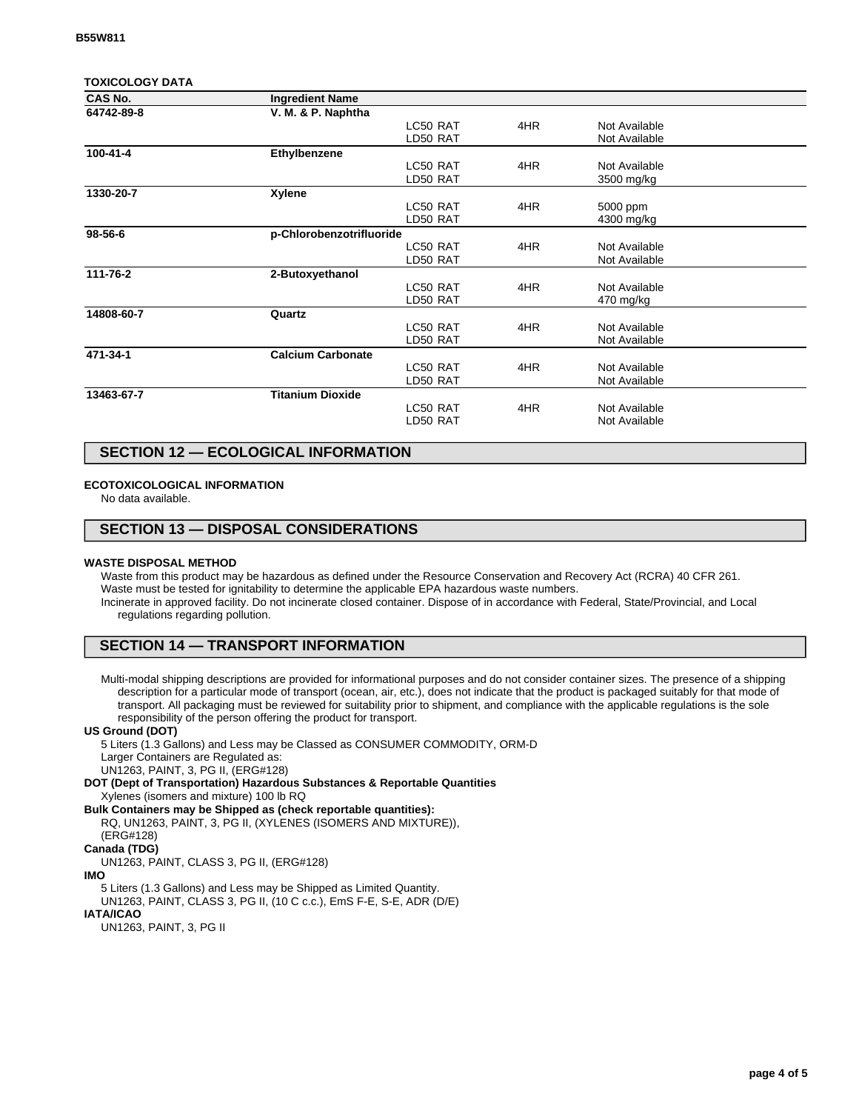### **TOXICOLOGY DATA**

| CAS No.    | <b>Ingredient Name</b>   |          |     |               |  |
|------------|--------------------------|----------|-----|---------------|--|
| 64742-89-8 | V. M. & P. Naphtha       |          |     |               |  |
|            |                          | LC50 RAT | 4HR | Not Available |  |
|            |                          | LD50 RAT |     | Not Available |  |
| 100-41-4   | Ethylbenzene             |          |     |               |  |
|            |                          | LC50 RAT | 4HR | Not Available |  |
|            |                          | LD50 RAT |     | 3500 mg/kg    |  |
| 1330-20-7  | <b>Xylene</b>            |          |     |               |  |
|            |                          | LC50 RAT | 4HR | 5000 ppm      |  |
|            |                          | LD50 RAT |     | 4300 mg/kg    |  |
| 98-56-6    | p-Chlorobenzotrifluoride |          |     |               |  |
|            |                          | LC50 RAT | 4HR | Not Available |  |
|            |                          | LD50 RAT |     | Not Available |  |
| 111-76-2   | 2-Butoxyethanol          |          |     |               |  |
|            |                          | LC50 RAT | 4HR | Not Available |  |
|            |                          | LD50 RAT |     | 470 mg/kg     |  |
| 14808-60-7 | Quartz                   |          |     |               |  |
|            |                          | LC50 RAT | 4HR | Not Available |  |
|            |                          | LD50 RAT |     | Not Available |  |
| 471-34-1   | <b>Calcium Carbonate</b> |          |     |               |  |
|            |                          | LC50 RAT | 4HR | Not Available |  |
|            |                          | LD50 RAT |     | Not Available |  |
| 13463-67-7 | <b>Titanium Dioxide</b>  |          |     |               |  |
|            |                          | LC50 RAT | 4HR | Not Available |  |
|            |                          | LD50 RAT |     | Not Available |  |
|            |                          |          |     |               |  |

## **SECTION 12 — ECOLOGICAL INFORMATION**

### **ECOTOXICOLOGICAL INFORMATION**

No data available.

## **SECTION 13 — DISPOSAL CONSIDERATIONS**

#### **WASTE DISPOSAL METHOD**

Waste from this product may be hazardous as defined under the Resource Conservation and Recovery Act (RCRA) 40 CFR 261. Waste must be tested for ignitability to determine the applicable EPA hazardous waste numbers. Incinerate in approved facility. Do not incinerate closed container. Dispose of in accordance with Federal, State/Provincial, and Local regulations regarding pollution.

## **SECTION 14 — TRANSPORT INFORMATION**

Multi-modal shipping descriptions are provided for informational purposes and do not consider container sizes. The presence of a shipping description for a particular mode of transport (ocean, air, etc.), does not indicate that the product is packaged suitably for that mode of transport. All packaging must be reviewed for suitability prior to shipment, and compliance with the applicable regulations is the sole responsibility of the person offering the product for transport.

#### **US Ground (DOT)**

5 Liters (1.3 Gallons) and Less may be Classed as CONSUMER COMMODITY, ORM-D Larger Containers are Regulated as:

UN1263, PAINT, 3, PG II, (ERG#128)

**DOT (Dept of Transportation) Hazardous Substances & Reportable Quantities** Xylenes (isomers and mixture) 100 lb RQ

**Bulk Containers may be Shipped as (check reportable quantities):**

RQ, UN1263, PAINT, 3, PG II, (XYLENES (ISOMERS AND MIXTURE)), (ERG#128)

# **Canada (TDG)**

UN1263, PAINT, CLASS 3, PG II, (ERG#128)

**IMO**

5 Liters (1.3 Gallons) and Less may be Shipped as Limited Quantity. UN1263, PAINT, CLASS 3, PG II, (10 C c.c.), EmS F-E, S-E, ADR (D/E)

# **IATA/ICAO**

UN1263, PAINT, 3, PG II